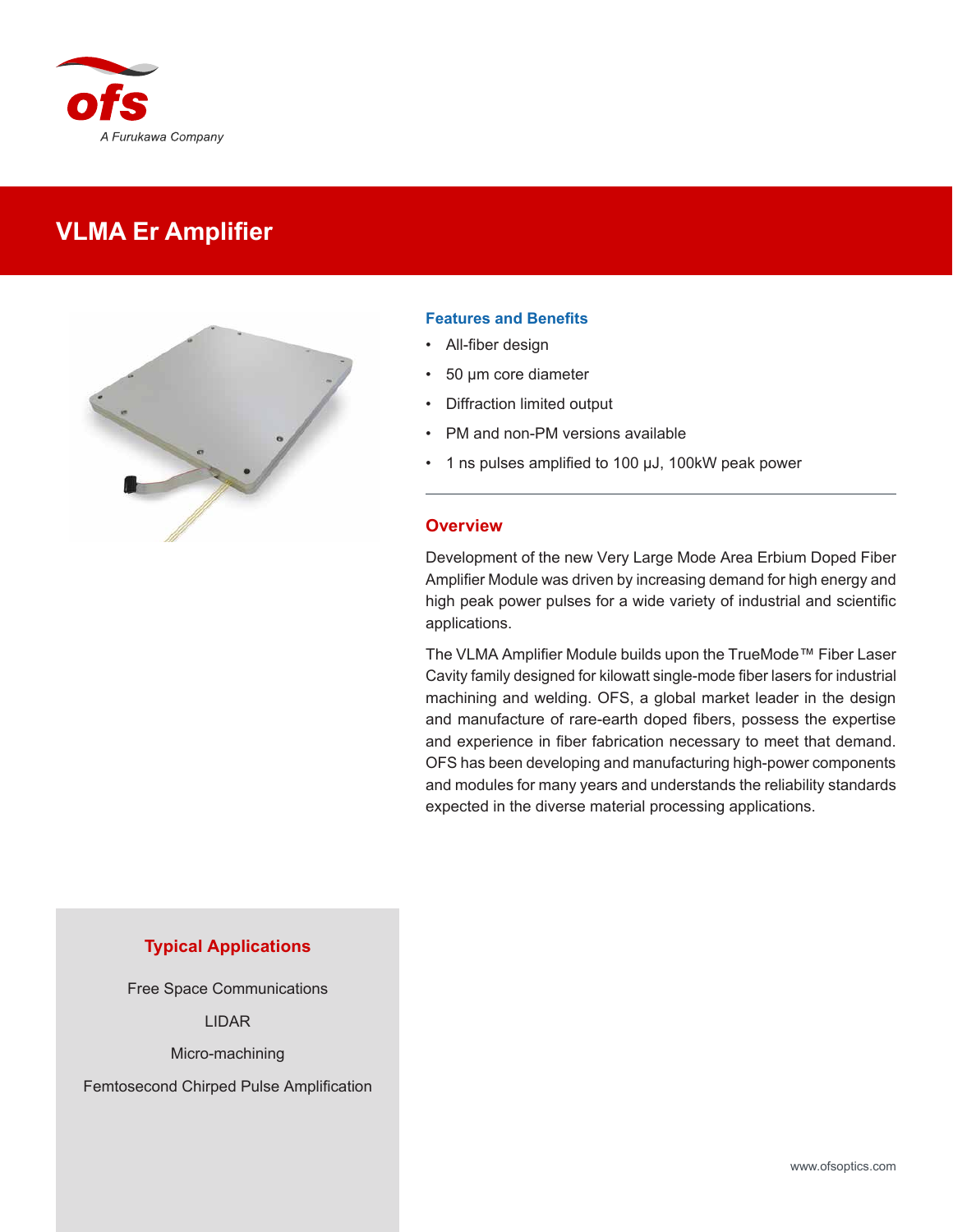

# **VLMA Er Amplifier**



#### **Features and Benefits**

- All-fiber design
- 50 µm core diameter
- Diffraction limited output
- PM and non-PM versions available
- 1 ns pulses amplified to 100 µJ, 100kW peak power

#### **Overview**

Development of the new Very Large Mode Area Erbium Doped Fiber Amplifier Module was driven by increasing demand for high energy and high peak power pulses for a wide variety of industrial and scientific applications.

The VLMA Amplifier Module builds upon the TrueMode™ Fiber Laser Cavity family designed for kilowatt single-mode fiber lasers for industrial machining and welding. OFS, a global market leader in the design and manufacture of rare-earth doped fibers, possess the expertise and experience in fiber fabrication necessary to meet that demand. OFS has been developing and manufacturing high-power components and modules for many years and understands the reliability standards expected in the diverse material processing applications.

### **Typical Applications**

Free Space Communications

LIDAR

Micro-machining

Femtosecond Chirped Pulse Amplification